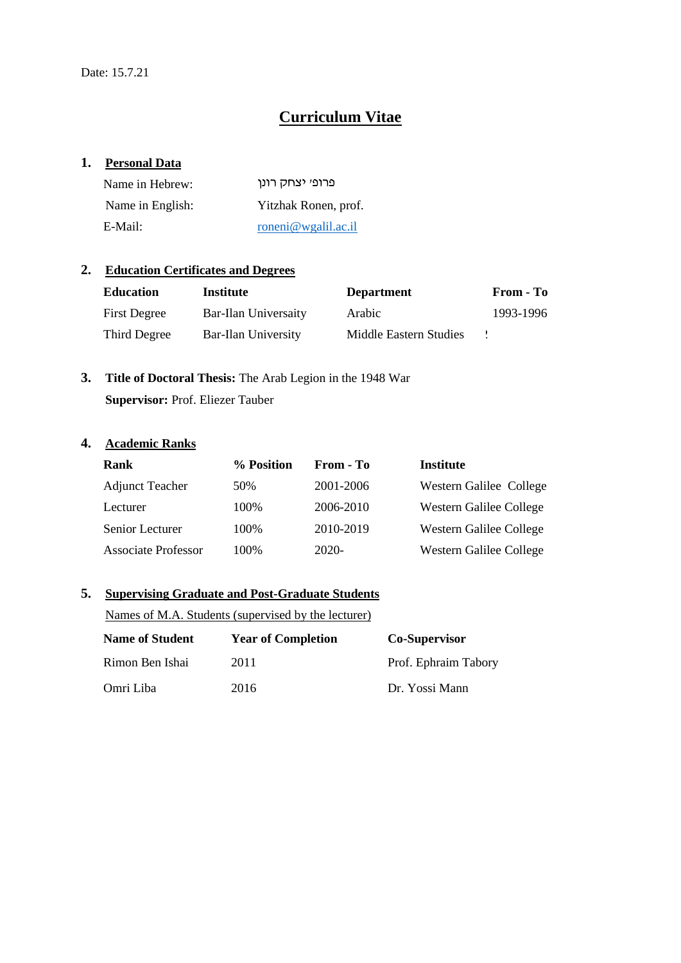# **Curriculum Vitae**

#### **1. Personal Data**

| Name in Hebrew:  | פרופי יצחק רונן      |
|------------------|----------------------|
| Name in English: | Yitzhak Ronen, prof. |
| E-Mail:          | roneni@wgalil.ac.il  |

### **2. Education Certificates and Degrees**

| <b>Education</b>    | <b>Institute</b>     | <b>Department</b>      | From - To |
|---------------------|----------------------|------------------------|-----------|
| <b>First Degree</b> | Bar-Ilan Universaity | Arabic                 | 1993-1996 |
| Third Degree        | Bar-Ilan University  | Middle Eastern Studies |           |

# **3. Title of Doctoral Thesis:** The Arab Legion in the 1948 War **Supervisor:** Prof. Eliezer Tauber

# **4. Academic Ranks**

| Rank                       | % Position | From - To | <b>Institute</b>        |
|----------------------------|------------|-----------|-------------------------|
| <b>Adjunct Teacher</b>     | 50\%       | 2001-2006 | Western Galilee College |
| Lecturer                   | 100%       | 2006-2010 | Western Galilee College |
| Senior Lecturer            | 100\%      | 2010-2019 | Western Galilee College |
| <b>Associate Professor</b> | 100%       | $2020-$   | Western Galilee College |

## **5. Supervising Graduate and Post-Graduate Students**

Names of M.A. Students (supervised by the lecturer)

| <b>Name of Student</b> | <b>Year of Completion</b> | <b>Co-Supervisor</b> |
|------------------------|---------------------------|----------------------|
| Rimon Ben Ishai        | 2011                      | Prof. Ephraim Tabory |
| Omri Liba              | 2016                      | Dr. Yossi Mann       |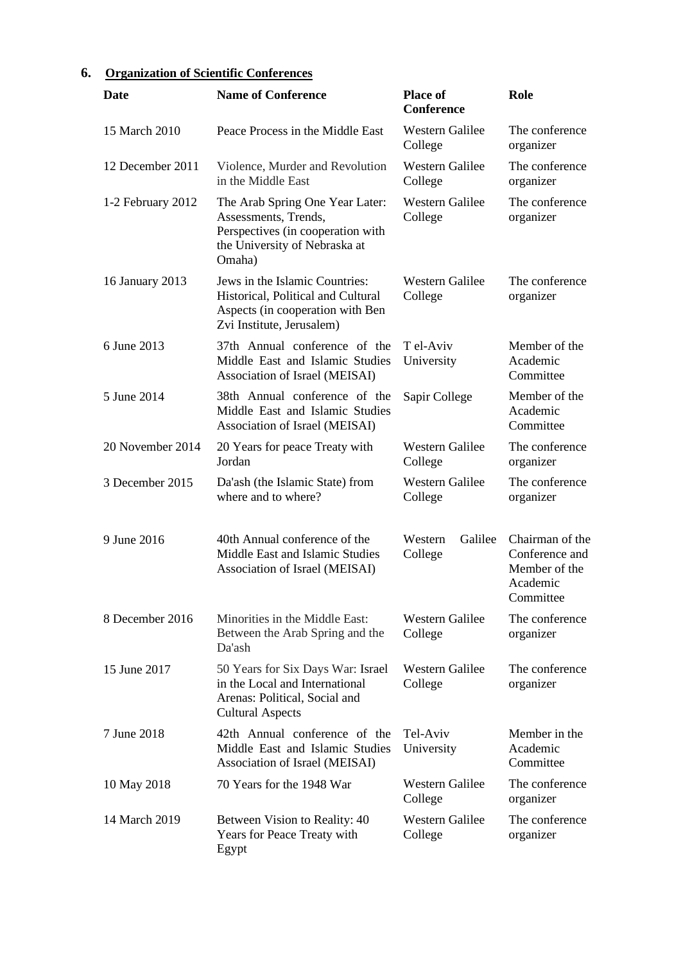# **6. Organization of Scientific Conferences**

| Date              | <b>Name of Conference</b>                                                                                                               | <b>Place of</b><br><b>Conference</b> | Role                                                                        |
|-------------------|-----------------------------------------------------------------------------------------------------------------------------------------|--------------------------------------|-----------------------------------------------------------------------------|
| 15 March 2010     | Peace Process in the Middle East                                                                                                        | <b>Western Galilee</b><br>College    | The conference<br>organizer                                                 |
| 12 December 2011  | Violence, Murder and Revolution<br>in the Middle East                                                                                   | <b>Western Galilee</b><br>College    | The conference<br>organizer                                                 |
| 1-2 February 2012 | The Arab Spring One Year Later:<br>Assessments, Trends,<br>Perspectives (in cooperation with<br>the University of Nebraska at<br>Omaha) | <b>Western Galilee</b><br>College    | The conference<br>organizer                                                 |
| 16 January 2013   | Jews in the Islamic Countries:<br>Historical, Political and Cultural<br>Aspects (in cooperation with Ben<br>Zvi Institute, Jerusalem)   | Western Galilee<br>College           | The conference<br>organizer                                                 |
| 6 June 2013       | 37th Annual conference of the<br>Middle East and Islamic Studies<br>Association of Israel (MEISAI)                                      | T el-Aviv<br>University              | Member of the<br>Academic<br>Committee                                      |
| 5 June 2014       | 38th Annual conference of the<br>Middle East and Islamic Studies<br>Association of Israel (MEISAI)                                      | Sapir College                        | Member of the<br>Academic<br>Committee                                      |
| 20 November 2014  | 20 Years for peace Treaty with<br>Jordan                                                                                                | Western Galilee<br>College           | The conference<br>organizer                                                 |
| 3 December 2015   | Da'ash (the Islamic State) from<br>where and to where?                                                                                  | <b>Western Galilee</b><br>College    | The conference<br>organizer                                                 |
| 9 June 2016       | 40th Annual conference of the<br>Middle East and Islamic Studies<br>Association of Israel (MEISAI)                                      | Galilee<br>Western<br>College        | Chairman of the<br>Conference and<br>Member of the<br>Academic<br>Committee |
| 8 December 2016   | Minorities in the Middle East:<br>Between the Arab Spring and the<br>Da'ash                                                             | <b>Western Galilee</b><br>College    | The conference<br>organizer                                                 |
| 15 June 2017      | 50 Years for Six Days War: Israel<br>in the Local and International<br>Arenas: Political, Social and<br><b>Cultural Aspects</b>         | <b>Western Galilee</b><br>College    | The conference<br>organizer                                                 |
| 7 June 2018       | 42th Annual conference of the<br>Middle East and Islamic Studies<br>Association of Israel (MEISAI)                                      | Tel-Aviv<br>University               | Member in the<br>Academic<br>Committee                                      |
| 10 May 2018       | 70 Years for the 1948 War                                                                                                               | <b>Western Galilee</b><br>College    | The conference<br>organizer                                                 |
| 14 March 2019     | Between Vision to Reality: 40<br>Years for Peace Treaty with<br>Egypt                                                                   | <b>Western Galilee</b><br>College    | The conference<br>organizer                                                 |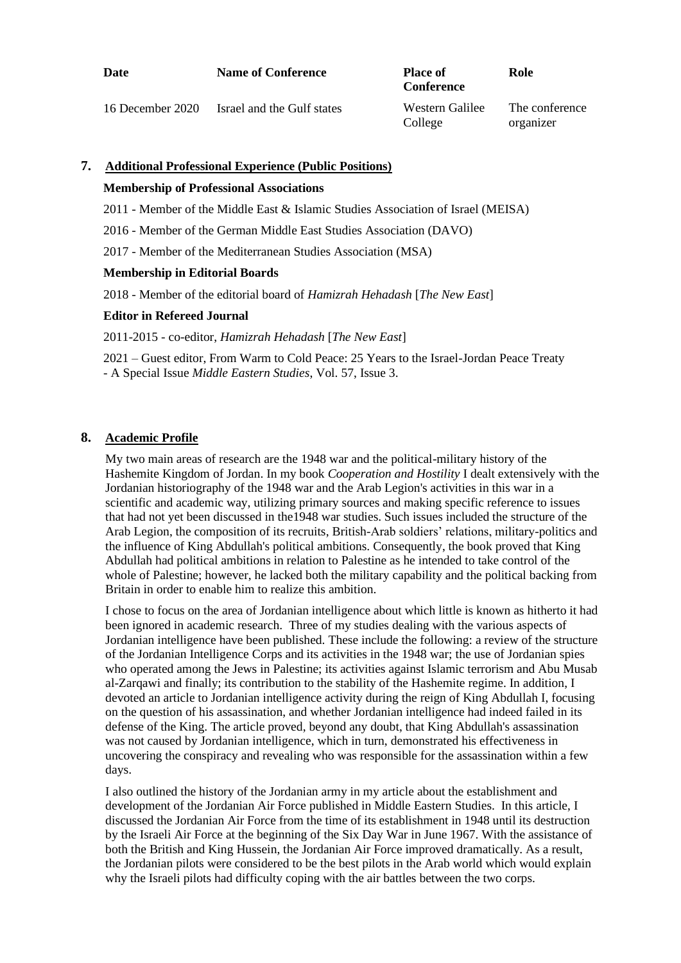| Date                 | <b>Name of Conference</b>  | <b>Place of</b><br><b>Conference</b> | Role           |
|----------------------|----------------------------|--------------------------------------|----------------|
| $16$ December $2020$ | Icraal and the Gulf states | Wastern Galilee                      | The conference |

| 16 December 2020 | Israel and the Gulf states | Western Galilee | The conference |
|------------------|----------------------------|-----------------|----------------|
|                  |                            | College         | organizer      |

#### **7. Additional Professional Experience (Public Positions)**

#### **Membership of Professional Associations**

- 2011 Member of the Middle East & Islamic Studies Association of Israel (MEISA)
- 2016 Member of the German Middle East Studies Association (DAVO)

2017 - Member of the Mediterranean Studies Association (MSA)

#### **Membership in Editorial Boards**

2018 - Member of the editorial board of *Hamizrah Hehadash* [*The New East*]

#### **Editor in Refereed Journal**

2011-2015 - co-editor, *Hamizrah Hehadash* [*The New East*]

2021 – Guest editor, From Warm to Cold Peace: 25 Years to the Israel-Jordan Peace Treaty - A Special Issue *Middle Eastern Studies*, Vol. 57, Issue 3.

### **8. Academic Profile**

My two main areas of research are the 1948 war and the political-military history of the Hashemite Kingdom of Jordan. In my book *Cooperation and Hostility* I dealt extensively with the Jordanian historiography of the 1948 war and the Arab Legion's activities in this war in a scientific and academic way, utilizing primary sources and making specific reference to issues that had not yet been discussed in the1948 war studies. Such issues included the structure of the Arab Legion, the composition of its recruits, British-Arab soldiers' relations, military-politics and the influence of King Abdullah's political ambitions. Consequently, the book proved that King Abdullah had political ambitions in relation to Palestine as he intended to take control of the whole of Palestine; however, he lacked both the military capability and the political backing from Britain in order to enable him to realize this ambition.

I chose to focus on the area of Jordanian intelligence about which little is known as hitherto it had been ignored in academic research. Three of my studies dealing with the various aspects of Jordanian intelligence have been published. These include the following: a review of the structure of the Jordanian Intelligence Corps and its activities in the 1948 war; the use of Jordanian spies who operated among the Jews in Palestine; its activities against Islamic terrorism and Abu Musab al-Zarqawi and finally; its contribution to the stability of the Hashemite regime. In addition, I devoted an article to Jordanian intelligence activity during the reign of King Abdullah I, focusing on the question of his assassination, and whether Jordanian intelligence had indeed failed in its defense of the King. The article proved, beyond any doubt, that King Abdullah's assassination was not caused by Jordanian intelligence, which in turn, demonstrated his effectiveness in uncovering the conspiracy and revealing who was responsible for the assassination within a few days.

I also outlined the history of the Jordanian army in my article about the establishment and development of the Jordanian Air Force published in Middle Eastern Studies. In this article, I discussed the Jordanian Air Force from the time of its establishment in 1948 until its destruction by the Israeli Air Force at the beginning of the Six Day War in June 1967. With the assistance of both the British and King Hussein, the Jordanian Air Force improved dramatically. As a result, the Jordanian pilots were considered to be the best pilots in the Arab world which would explain why the Israeli pilots had difficulty coping with the air battles between the two corps.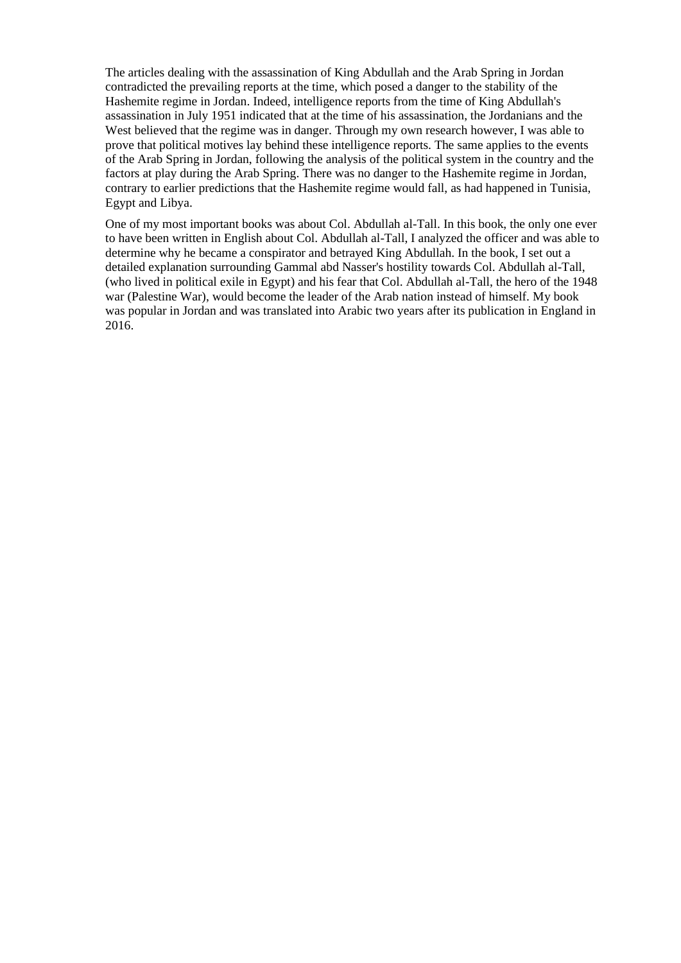The articles dealing with the assassination of King Abdullah and the Arab Spring in Jordan contradicted the prevailing reports at the time, which posed a danger to the stability of the Hashemite regime in Jordan. Indeed, intelligence reports from the time of King Abdullah's assassination in July 1951 indicated that at the time of his assassination, the Jordanians and the West believed that the regime was in danger. Through my own research however, I was able to prove that political motives lay behind these intelligence reports. The same applies to the events of the Arab Spring in Jordan, following the analysis of the political system in the country and the factors at play during the Arab Spring. There was no danger to the Hashemite regime in Jordan, contrary to earlier predictions that the Hashemite regime would fall, as had happened in Tunisia, Egypt and Libya.

One of my most important books was about Col. Abdullah al-Tall. In this book, the only one ever to have been written in English about Col. Abdullah al-Tall, I analyzed the officer and was able to determine why he became a conspirator and betrayed King Abdullah. In the book, I set out a detailed explanation surrounding Gammal abd Nasser's hostility towards Col. Abdullah al-Tall, (who lived in political exile in Egypt) and his fear that Col. Abdullah al-Tall, the hero of the 1948 war (Palestine War), would become the leader of the Arab nation instead of himself. My book was popular in Jordan and was translated into Arabic two years after its publication in England in 2016.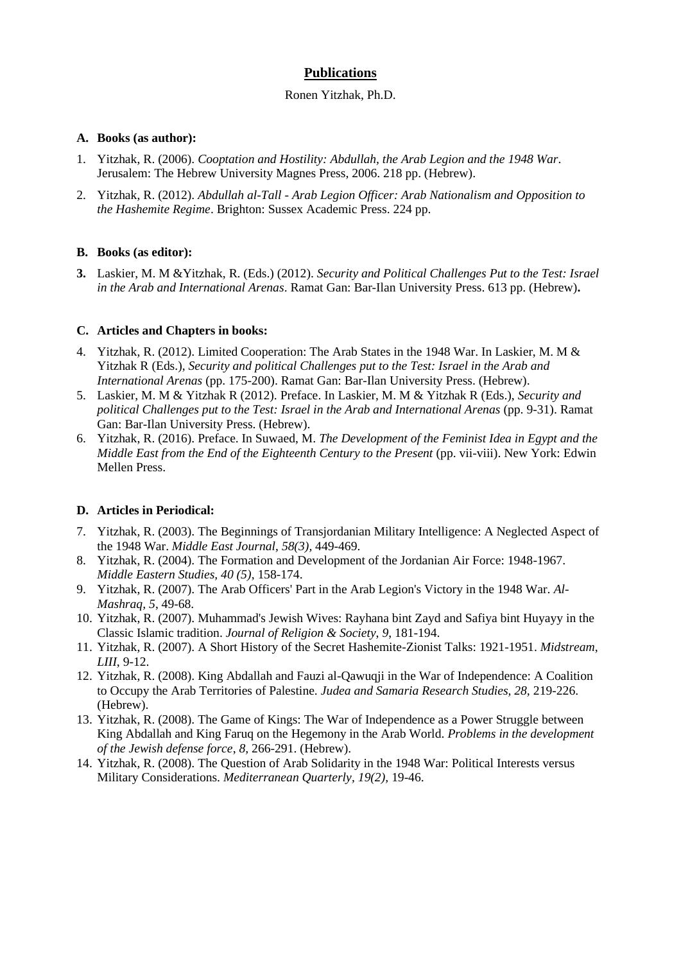### **Publications**

#### Ronen Yitzhak, Ph.D.

#### **A. Books (as author):**

- 1. Yitzhak, R. (2006). *Cooptation and Hostility: Abdullah, the Arab Legion and the 1948 War*. Jerusalem: The Hebrew University Magnes Press, 2006. 218 pp. (Hebrew).
- 2. Yitzhak, R. (2012). *Abdullah al-Tall - Arab Legion Officer: Arab Nationalism and Opposition to the Hashemite Regime*. Brighton: Sussex Academic Press. 224 pp.

#### **B. Books (as editor):**

**3.** Laskier, M. M &Yitzhak, R. (Eds.) (2012). *Security and Political Challenges Put to the Test: Israel in the Arab and International Arenas*. Ramat Gan: Bar-Ilan University Press. 613 pp. (Hebrew)**.**

#### **C. Articles and Chapters in books:**

- 4. Yitzhak, R. (2012). Limited Cooperation: The Arab States in the 1948 War. In Laskier, M. M & Yitzhak R (Eds.), *Security and political Challenges put to the Test: Israel in the Arab and International Arenas* (pp. 175-200). Ramat Gan: Bar-Ilan University Press. (Hebrew).
- 5. Laskier, M. M & Yitzhak R (2012). Preface. In Laskier, M. M & Yitzhak R (Eds.), *Security and political Challenges put to the Test: Israel in the Arab and International Arenas (pp. 9-31). Ramat* Gan: Bar-Ilan University Press. (Hebrew).
- 6. Yitzhak, R. (2016). Preface. In Suwaed, M. *The Development of the Feminist Idea in Egypt and the Middle East from the End of the Eighteenth Century to the Present* (pp. vii-viii). New York: Edwin Mellen Press.

### **D. Articles in Periodical:**

- 7. Yitzhak, R. (2003). The Beginnings of Transjordanian Military Intelligence: A Neglected Aspect of the 1948 War. *Middle East Journal*, *58(3),* 449-469.
- 8. Yitzhak, R. (2004). The Formation and Development of the Jordanian Air Force: 1948-1967. *Middle Eastern Studies, 40 (5)*, 158-174.
- 9. Yitzhak, R. (2007). The Arab Officers' Part in the Arab Legion's Victory in the 1948 War. *Al-Mashraq, 5*, 49-68.
- 10. Yitzhak, R. (2007). Muhammad's Jewish Wives: Rayhana bint Zayd and Safiya bint Huyayy in the Classic Islamic tradition. *Journal of Religion & Society*, *9*, 181-194.
- 11. Yitzhak, R. (2007). A Short History of the Secret Hashemite-Zionist Talks: 1921-1951. *Midstream*, *LIII*, 9-12.
- 12. Yitzhak, R. (2008). King Abdallah and Fauzi al-Qawuqji in the War of Independence: A Coalition to Occupy the Arab Territories of Palestine. *Judea and Samaria Research Studies, 28,* 219-226. (Hebrew).
- 13. Yitzhak, R. (2008). The Game of Kings: The War of Independence as a Power Struggle between King Abdallah and King Faruq on the Hegemony in the Arab World. *Problems in the development of the Jewish defense force*, *8,* 266-291. (Hebrew).
- 14. Yitzhak, R. (2008). The Question of Arab Solidarity in the 1948 War: Political Interests versus Military Considerations. *Mediterranean Quarterly*, *19(2),* 19-46.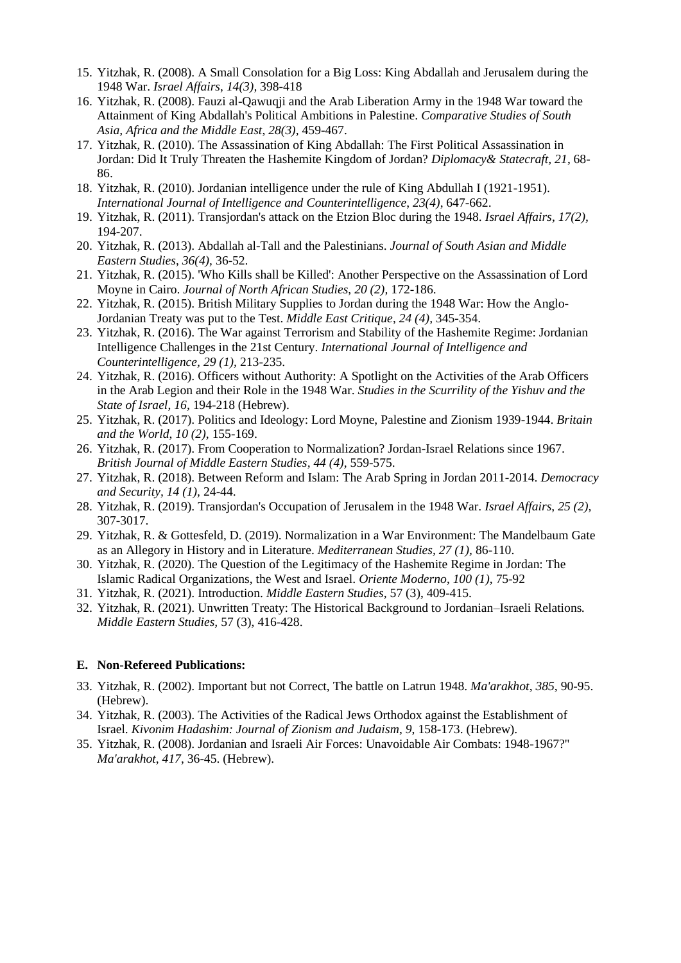- 15. Yitzhak, R. (2008). A Small Consolation for a Big Loss: King Abdallah and Jerusalem during the 1948 War. *Israel Affairs*, *14(3),* 398-418
- 16. Yitzhak, R. (2008). Fauzi al-Qawuqji and the Arab Liberation Army in the 1948 War toward the Attainment of King Abdallah's Political Ambitions in Palestine. *Comparative Studies of South Asia, Africa and the Middle East*, *28(3),* 459-467.
- 17. Yitzhak, R. (2010). The Assassination of King Abdallah: The First Political Assassination in Jordan: Did It Truly Threaten the Hashemite Kingdom of Jordan? *Diplomacy& Statecraft, 21*, 68- 86.
- 18. Yitzhak, R. (2010). Jordanian intelligence under the rule of King Abdullah I (1921-1951). *International Journal of Intelligence and Counterintelligence*, *23(4)*, 647-662.
- 19. Yitzhak, R. (2011). Transjordan's attack on the Etzion Bloc during the 1948. *Israel Affairs*, *17(2),* 194-207.
- 20. Yitzhak, R. (2013). Abdallah al-Tall and the Palestinians. *Journal of South Asian and Middle Eastern Studies*, *36(4),* 36-52.
- 21. Yitzhak, R. (2015). 'Who Kills shall be Killed': Another Perspective on the Assassination of Lord Moyne in Cairo. *Journal of North African Studies*, *20 (2),* 172-186.
- 22. Yitzhak, R. (2015). British Military Supplies to Jordan during the 1948 War: How the Anglo-Jordanian Treaty was put to the Test. *Middle East Critique*, *24 (4),* 345-354.
- 23. Yitzhak, R. (2016). The War against Terrorism and Stability of the Hashemite Regime: Jordanian Intelligence Challenges in the 21st Century. *International Journal of Intelligence and Counterintelligence, 29 (1),* 213-235.
- 24. Yitzhak, R. (2016). Officers without Authority: A Spotlight on the Activities of the Arab Officers in the Arab Legion and their Role in the 1948 War. *Studies in the Scurrility of the Yishuv and the State of Israel*, *16,* 194-218 (Hebrew).
- 25. Yitzhak, R. (2017). Politics and Ideology: Lord Moyne, Palestine and Zionism 1939-1944. *Britain and the World*, *10 (2)*, 155-169.
- 26. Yitzhak, R. (2017). From Cooperation to Normalization? Jordan-Israel Relations since 1967. *British Journal of Middle Eastern Studies, 44 (4),* 559-575.
- 27. Yitzhak, R. (2018). Between Reform and Islam: The Arab Spring in Jordan 2011-2014. *Democracy and Security, 14 (1),* 24-44.
- 28. Yitzhak, R. (2019). Transjordan's Occupation of Jerusalem in the 1948 War. *Israel Affairs*, *25 (2),* 307-3017.
- 29. Yitzhak, R. & Gottesfeld, D. (2019). Normalization in a War Environment: The Mandelbaum Gate as an Allegory in History and in Literature. *Mediterranean Studies, 27 (1),* 86-110.
- 30. Yitzhak, R. (2020). The Question of the Legitimacy of the Hashemite Regime in Jordan: The Islamic Radical Organizations, the West and Israel. *Oriente Moderno*, *100 (1)*, 75-92
- 31. Yitzhak, R. (2021). Introduction. *Middle Eastern Studies,* 57 (3), 409-415.
- 32. Yitzhak, R. (2021). Unwritten Treaty: The Historical Background to Jordanian–Israeli Relations*. Middle Eastern Studies,* 57 (3), 416-428.

#### **E. Non-Refereed Publications:**

- 33. Yitzhak, R. (2002). Important but not Correct, The battle on Latrun 1948. *Ma'arakhot*, *385*, 90-95. (Hebrew).
- 34. Yitzhak, R. (2003). The Activities of the Radical Jews Orthodox against the Establishment of Israel. *Kivonim Hadashim: Journal of Zionism and Judaism*, *9*, 158-173. (Hebrew).
- 35. Yitzhak, R. (2008). Jordanian and Israeli Air Forces: Unavoidable Air Combats: 1948-1967?" *Ma'arakhot*, *417*, 36-45. (Hebrew).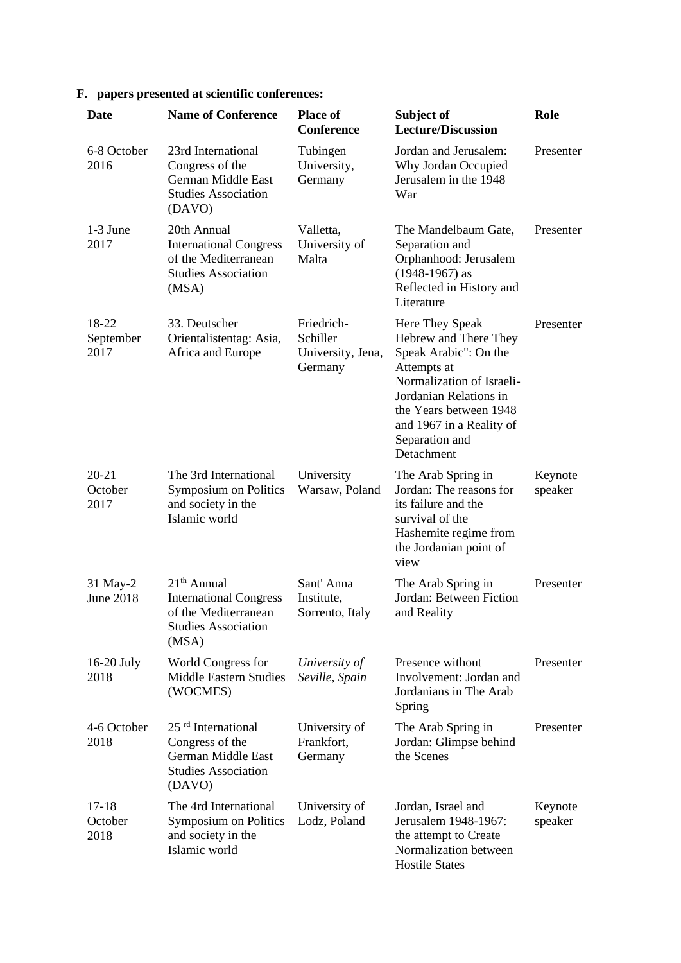## **F. papers presented at scientific conferences:**

| Date                         | <b>Name of Conference</b>                                                                                       | <b>Place of</b><br><b>Conference</b>                   | Subject of<br><b>Lecture/Discussion</b>                                                                                                                                                                                       | Role               |
|------------------------------|-----------------------------------------------------------------------------------------------------------------|--------------------------------------------------------|-------------------------------------------------------------------------------------------------------------------------------------------------------------------------------------------------------------------------------|--------------------|
| 6-8 October<br>2016          | 23rd International<br>Congress of the<br>German Middle East<br><b>Studies Association</b><br>(DAVO)             | Tubingen<br>University,<br>Germany                     | Jordan and Jerusalem:<br>Why Jordan Occupied<br>Jerusalem in the 1948<br>War                                                                                                                                                  | Presenter          |
| 1-3 June<br>2017             | 20th Annual<br><b>International Congress</b><br>of the Mediterranean<br><b>Studies Association</b><br>(MSA)     | Valletta,<br>University of<br>Malta                    | The Mandelbaum Gate,<br>Separation and<br>Orphanhood: Jerusalem<br>$(1948-1967)$ as<br>Reflected in History and<br>Literature                                                                                                 | Presenter          |
| 18-22<br>September<br>2017   | 33. Deutscher<br>Orientalistentag: Asia,<br>Africa and Europe                                                   | Friedrich-<br>Schiller<br>University, Jena,<br>Germany | Here They Speak<br>Hebrew and There They<br>Speak Arabic": On the<br>Attempts at<br>Normalization of Israeli-<br>Jordanian Relations in<br>the Years between 1948<br>and 1967 in a Reality of<br>Separation and<br>Detachment | Presenter          |
| $20 - 21$<br>October<br>2017 | The 3rd International<br><b>Symposium on Politics</b><br>and society in the<br>Islamic world                    | University<br>Warsaw, Poland                           | The Arab Spring in<br>Jordan: The reasons for<br>its failure and the<br>survival of the<br>Hashemite regime from<br>the Jordanian point of<br>view                                                                            | Keynote<br>speaker |
| 31 May-2<br><b>June 2018</b> | $21th$ Annual<br><b>International Congress</b><br>of the Mediterranean<br><b>Studies Association</b><br>(MSA)   | Sant' Anna<br>Institute,<br>Sorrento, Italy            | The Arab Spring in<br>Jordan: Between Fiction<br>and Reality                                                                                                                                                                  | Presenter          |
| $16-20$ July<br>2018         | World Congress for<br><b>Middle Eastern Studies</b><br>(WOCMES)                                                 | University of<br>Seville, Spain                        | Presence without<br>Involvement: Jordan and<br>Jordanians in The Arab<br>Spring                                                                                                                                               | Presenter          |
| 4-6 October<br>2018          | 25 <sup>rd</sup> International<br>Congress of the<br>German Middle East<br><b>Studies Association</b><br>(DAVO) | University of<br>Frankfort,<br>Germany                 | The Arab Spring in<br>Jordan: Glimpse behind<br>the Scenes                                                                                                                                                                    | Presenter          |
| 17-18<br>October<br>2018     | The 4rd International<br>Symposium on Politics<br>and society in the<br>Islamic world                           | University of<br>Lodz, Poland                          | Jordan, Israel and<br>Jerusalem 1948-1967:<br>the attempt to Create<br>Normalization between<br><b>Hostile States</b>                                                                                                         | Keynote<br>speaker |